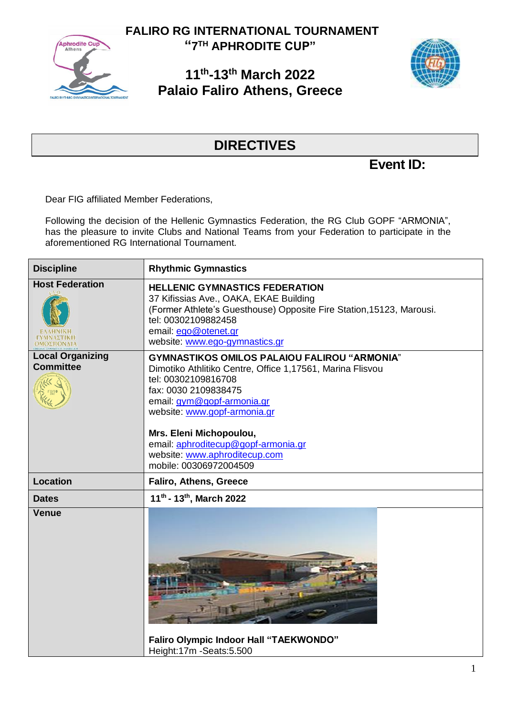

**FALIRO RG INTERNATIONAL TOURNAMENT "7 TH APHRODITE CUP"**

## **11 th -13 th March 2022 Palaio Faliro Athens, Greece**



## **DIRECTIVES**

**Event ID:** 

Dear FIG affiliated Member Federations,

Following the decision of the Hellenic Gymnastics Federation, the RG Club GOPF "ARMONIA", has the pleasure to invite Clubs and National Teams from your Federation to participate in the aforementioned RG International Tournament.

| <b>Discipline</b>                           | <b>Rhythmic Gymnastics</b>                                                                                                                                                                                                                                                                                                                                 |
|---------------------------------------------|------------------------------------------------------------------------------------------------------------------------------------------------------------------------------------------------------------------------------------------------------------------------------------------------------------------------------------------------------------|
| <b>Host Federation</b>                      | <b>HELLENIC GYMNASTICS FEDERATION</b><br>37 Kifissias Ave., OAKA, EKAE Building<br>(Former Athlete's Guesthouse) Opposite Fire Station, 15123, Marousi.<br>tel: 00302109882458<br>email: ego@otenet.gr<br>website: www.ego-gymnastics.gr                                                                                                                   |
| <b>Local Organizing</b><br><b>Committee</b> | <b>GYMNASTIKOS OMILOS PALAIOU FALIROU "ARMONIA"</b><br>Dimotiko Athlitiko Centre, Office 1,17561, Marina Flisvou<br>tel: 00302109816708<br>fax: 0030 2109838475<br>email: gym@gopf-armonia.gr<br>website: www.gopf-armonia.gr<br>Mrs. Eleni Michopoulou,<br>email: aphroditecup@gopf-armonia.gr<br>website: www.aphroditecup.com<br>mobile: 00306972004509 |
| <b>Location</b>                             | Faliro, Athens, Greece                                                                                                                                                                                                                                                                                                                                     |
| <b>Dates</b>                                | 11 <sup>th</sup> - 13 <sup>th</sup> , March 2022                                                                                                                                                                                                                                                                                                           |
| <b>Venue</b>                                | <b>Faliro Olympic Indoor Hall "TAEKWONDO"</b><br>Height:17m -Seats:5.500                                                                                                                                                                                                                                                                                   |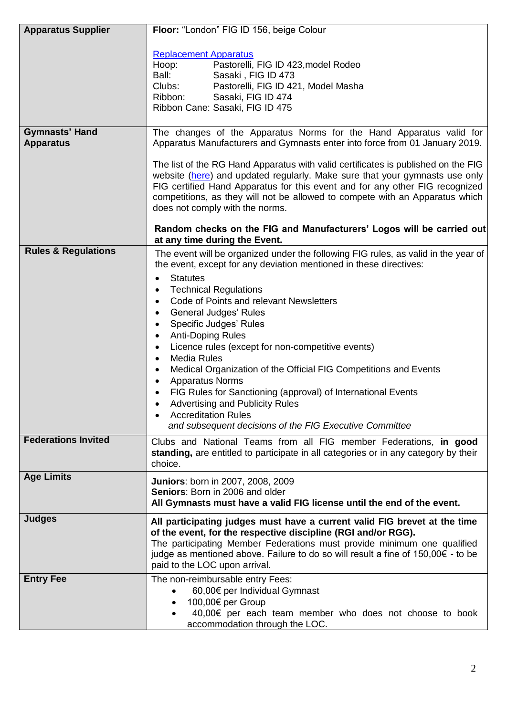| <b>Apparatus Supplier</b>                 | Floor: "London" FIG ID 156, beige Colour                                                                                                                            |
|-------------------------------------------|---------------------------------------------------------------------------------------------------------------------------------------------------------------------|
|                                           |                                                                                                                                                                     |
|                                           | <b>Replacement Apparatus</b><br>Pastorelli, FIG ID 423, model Rodeo<br>Hoop:                                                                                        |
|                                           | Ball:<br>Sasaki, FIG ID 473                                                                                                                                         |
|                                           | Clubs:<br>Pastorelli, FIG ID 421, Model Masha                                                                                                                       |
|                                           | Ribbon:<br>Sasaki, FIG ID 474                                                                                                                                       |
|                                           | Ribbon Cane: Sasaki, FIG ID 475                                                                                                                                     |
|                                           |                                                                                                                                                                     |
| <b>Gymnasts' Hand</b><br><b>Apparatus</b> | The changes of the Apparatus Norms for the Hand Apparatus valid for<br>Apparatus Manufacturers and Gymnasts enter into force from 01 January 2019.                  |
|                                           |                                                                                                                                                                     |
|                                           | The list of the RG Hand Apparatus with valid certificates is published on the FIG<br>website (here) and updated regularly. Make sure that your gymnasts use only    |
|                                           | FIG certified Hand Apparatus for this event and for any other FIG recognized                                                                                        |
|                                           | competitions, as they will not be allowed to compete with an Apparatus which                                                                                        |
|                                           | does not comply with the norms.                                                                                                                                     |
|                                           |                                                                                                                                                                     |
|                                           | Random checks on the FIG and Manufacturers' Logos will be carried out<br>at any time during the Event.                                                              |
| <b>Rules &amp; Regulations</b>            | The event will be organized under the following FIG rules, as valid in the year of                                                                                  |
|                                           | the event, except for any deviation mentioned in these directives:                                                                                                  |
|                                           | <b>Statutes</b><br>٠                                                                                                                                                |
|                                           | <b>Technical Regulations</b>                                                                                                                                        |
|                                           | Code of Points and relevant Newsletters                                                                                                                             |
|                                           | <b>General Judges' Rules</b><br>٠                                                                                                                                   |
|                                           | Specific Judges' Rules<br>$\bullet$                                                                                                                                 |
|                                           | <b>Anti-Doping Rules</b><br>$\bullet$                                                                                                                               |
|                                           | Licence rules (except for non-competitive events)<br>$\bullet$                                                                                                      |
|                                           | <b>Media Rules</b><br>$\bullet$                                                                                                                                     |
|                                           | Medical Organization of the Official FIG Competitions and Events                                                                                                    |
|                                           | <b>Apparatus Norms</b><br>$\bullet$                                                                                                                                 |
|                                           | FIG Rules for Sanctioning (approval) of International Events<br><b>Advertising and Publicity Rules</b>                                                              |
|                                           | <b>Accreditation Rules</b>                                                                                                                                          |
|                                           | and subsequent decisions of the FIG Executive Committee                                                                                                             |
| <b>Federations Invited</b>                |                                                                                                                                                                     |
|                                           | Clubs and National Teams from all FIG member Federations, in good<br>standing, are entitled to participate in all categories or in any category by their<br>choice. |
| <b>Age Limits</b>                         |                                                                                                                                                                     |
|                                           | <b>Juniors: born in 2007, 2008, 2009</b><br>Seniors: Born in 2006 and older                                                                                         |
|                                           | All Gymnasts must have a valid FIG license until the end of the event.                                                                                              |
|                                           |                                                                                                                                                                     |
| <b>Judges</b>                             | All participating judges must have a current valid FIG brevet at the time                                                                                           |
|                                           | of the event, for the respective discipline (RGI and/or RGG).                                                                                                       |
|                                           | The participating Member Federations must provide minimum one qualified<br>judge as mentioned above. Failure to do so will result a fine of 150,00€ - to be         |
|                                           | paid to the LOC upon arrival.                                                                                                                                       |
|                                           |                                                                                                                                                                     |
| <b>Entry Fee</b>                          | The non-reimbursable entry Fees:<br>60,00€ per Individual Gymnast                                                                                                   |
|                                           | 100,00€ per Group                                                                                                                                                   |
|                                           | 40,00€ per each team member who does not choose to book                                                                                                             |
|                                           | accommodation through the LOC.                                                                                                                                      |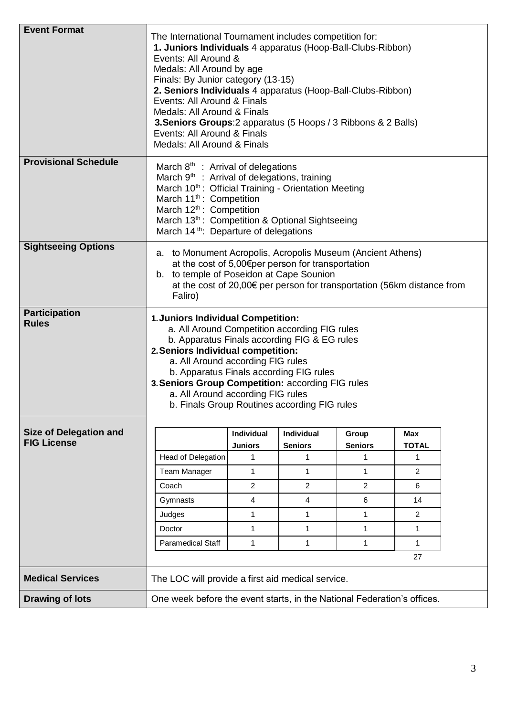| <b>Event Format</b>                                 | The International Tournament includes competition for:<br>1. Juniors Individuals 4 apparatus (Hoop-Ball-Clubs-Ribbon)<br>Events: All Around &<br>Medals: All Around by age<br>Finals: By Junior category (13-15)<br>2. Seniors Individuals 4 apparatus (Hoop-Ball-Clubs-Ribbon)<br>Events: All Around & Finals<br>Medals: All Around & Finals<br>3. Seniors Groups: 2 apparatus (5 Hoops / 3 Ribbons & 2 Balls)<br>Events: All Around & Finals<br>Medals: All Around & Finals |                     |                     |                         |                   |  |
|-----------------------------------------------------|-------------------------------------------------------------------------------------------------------------------------------------------------------------------------------------------------------------------------------------------------------------------------------------------------------------------------------------------------------------------------------------------------------------------------------------------------------------------------------|---------------------|---------------------|-------------------------|-------------------|--|
| <b>Provisional Schedule</b>                         | March 8 <sup>th</sup> : Arrival of delegations                                                                                                                                                                                                                                                                                                                                                                                                                                |                     |                     |                         |                   |  |
|                                                     | March 9 <sup>th</sup> : Arrival of delegations, training                                                                                                                                                                                                                                                                                                                                                                                                                      |                     |                     |                         |                   |  |
|                                                     | March 10 <sup>th</sup> : Official Training - Orientation Meeting<br>March 11 <sup>th</sup> : Competition                                                                                                                                                                                                                                                                                                                                                                      |                     |                     |                         |                   |  |
|                                                     | March 12 <sup>th</sup> : Competition                                                                                                                                                                                                                                                                                                                                                                                                                                          |                     |                     |                         |                   |  |
|                                                     | March 13th: Competition & Optional Sightseeing                                                                                                                                                                                                                                                                                                                                                                                                                                |                     |                     |                         |                   |  |
|                                                     | March 14 <sup>th</sup> : Departure of delegations                                                                                                                                                                                                                                                                                                                                                                                                                             |                     |                     |                         |                   |  |
| <b>Sightseeing Options</b>                          | a. to Monument Acropolis, Acropolis Museum (Ancient Athens)<br>at the cost of 5,00€per person for transportation<br>b. to temple of Poseidon at Cape Sounion<br>at the cost of 20,00€ per person for transportation (56km distance from<br>Faliro)                                                                                                                                                                                                                            |                     |                     |                         |                   |  |
| <b>Participation</b>                                |                                                                                                                                                                                                                                                                                                                                                                                                                                                                               |                     |                     |                         |                   |  |
| <b>Rules</b>                                        | 1. Juniors Individual Competition:<br>a. All Around Competition according FIG rules<br>b. Apparatus Finals according FIG & EG rules<br>2. Seniors Individual competition:<br>a. All Around according FIG rules<br>b. Apparatus Finals according FIG rules<br>3. Seniors Group Competition: according FIG rules<br>a. All Around according FIG rules<br>b. Finals Group Routines according FIG rules                                                                           |                     |                     |                         |                   |  |
|                                                     |                                                                                                                                                                                                                                                                                                                                                                                                                                                                               |                     |                     |                         |                   |  |
| <b>Size of Delegation and</b><br><b>FIG License</b> |                                                                                                                                                                                                                                                                                                                                                                                                                                                                               | Individual          | Individual          | Group<br><b>Seniors</b> | <b>Max</b>        |  |
|                                                     | Head of Delegation                                                                                                                                                                                                                                                                                                                                                                                                                                                            | <b>Juniors</b><br>1 | <b>Seniors</b><br>1 | 1                       | <b>TOTAL</b><br>1 |  |
|                                                     | <b>Team Manager</b>                                                                                                                                                                                                                                                                                                                                                                                                                                                           | $\mathbf{1}$        | $\mathbf{1}$        | 1                       | 2                 |  |
|                                                     | Coach                                                                                                                                                                                                                                                                                                                                                                                                                                                                         | $\overline{2}$      | $\overline{2}$      | $\overline{2}$          | 6                 |  |
|                                                     | Gymnasts                                                                                                                                                                                                                                                                                                                                                                                                                                                                      | $\overline{4}$      | $\overline{4}$      | 6                       | 14                |  |
|                                                     | Judges                                                                                                                                                                                                                                                                                                                                                                                                                                                                        | $\mathbf{1}$        | $\mathbf{1}$        | $\mathbf{1}$            | $\overline{2}$    |  |
|                                                     | Doctor                                                                                                                                                                                                                                                                                                                                                                                                                                                                        | $\mathbf{1}$        | $\mathbf{1}$        | $\mathbf{1}$            | 1                 |  |
|                                                     | Paramedical Staff                                                                                                                                                                                                                                                                                                                                                                                                                                                             | 1                   | 1                   | 1                       | 1                 |  |
|                                                     |                                                                                                                                                                                                                                                                                                                                                                                                                                                                               |                     |                     |                         | 27                |  |
| <b>Medical Services</b>                             | The LOC will provide a first aid medical service.                                                                                                                                                                                                                                                                                                                                                                                                                             |                     |                     |                         |                   |  |
| <b>Drawing of lots</b>                              | One week before the event starts, in the National Federation's offices.                                                                                                                                                                                                                                                                                                                                                                                                       |                     |                     |                         |                   |  |
|                                                     |                                                                                                                                                                                                                                                                                                                                                                                                                                                                               |                     |                     |                         |                   |  |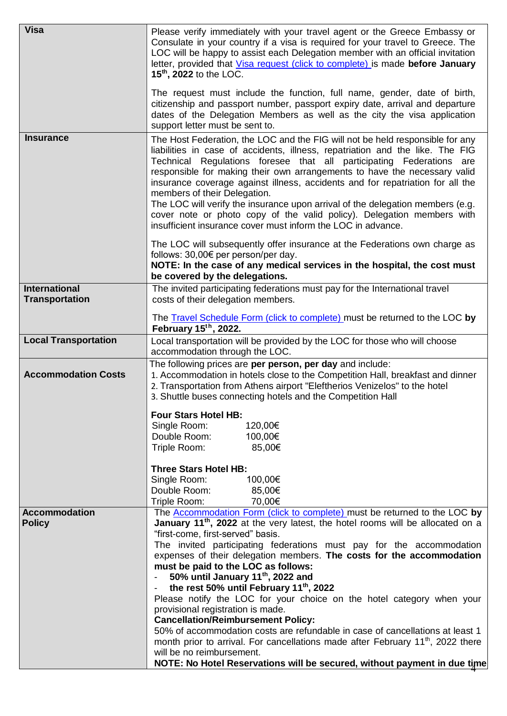| <b>Visa</b>                                   | Please verify immediately with your travel agent or the Greece Embassy or<br>Consulate in your country if a visa is required for your travel to Greece. The<br>LOC will be happy to assist each Delegation member with an official invitation<br>letter, provided that Visa request (click to complete) is made before January<br>15 <sup>th</sup> , 2022 to the LOC.<br>The request must include the function, full name, gender, date of birth,<br>citizenship and passport number, passport expiry date, arrival and departure<br>dates of the Delegation Members as well as the city the visa application<br>support letter must be sent to.                        |
|-----------------------------------------------|-------------------------------------------------------------------------------------------------------------------------------------------------------------------------------------------------------------------------------------------------------------------------------------------------------------------------------------------------------------------------------------------------------------------------------------------------------------------------------------------------------------------------------------------------------------------------------------------------------------------------------------------------------------------------|
| <b>Insurance</b>                              | The Host Federation, the LOC and the FIG will not be held responsible for any<br>liabilities in case of accidents, illness, repatriation and the like. The FIG<br>Technical Regulations foresee that all participating Federations are<br>responsible for making their own arrangements to have the necessary valid<br>insurance coverage against illness, accidents and for repatriation for all the<br>members of their Delegation.<br>The LOC will verify the insurance upon arrival of the delegation members (e.g.<br>cover note or photo copy of the valid policy). Delegation members with<br>insufficient insurance cover must inform the LOC in advance.       |
|                                               | The LOC will subsequently offer insurance at the Federations own charge as<br>follows: 30,00€ per person/per day.<br>NOTE: In the case of any medical services in the hospital, the cost must<br>be covered by the delegations.                                                                                                                                                                                                                                                                                                                                                                                                                                         |
| <b>International</b><br><b>Transportation</b> | The invited participating federations must pay for the International travel<br>costs of their delegation members.                                                                                                                                                                                                                                                                                                                                                                                                                                                                                                                                                       |
|                                               | The Travel Schedule Form (click to complete) must be returned to the LOC by<br>February 15th, 2022.                                                                                                                                                                                                                                                                                                                                                                                                                                                                                                                                                                     |
| <b>Local Transportation</b>                   | Local transportation will be provided by the LOC for those who will choose<br>accommodation through the LOC.                                                                                                                                                                                                                                                                                                                                                                                                                                                                                                                                                            |
| <b>Accommodation Costs</b>                    | The following prices are per person, per day and include:<br>1. Accommodation in hotels close to the Competition Hall, breakfast and dinner<br>2. Transportation from Athens airport "Eleftherios Venizelos" to the hotel<br>3. Shuttle buses connecting hotels and the Competition Hall                                                                                                                                                                                                                                                                                                                                                                                |
|                                               | <b>Four Stars Hotel HB:</b><br>Single Room:<br>120,00€<br>100,00€<br>Double Room:<br>Triple Room:<br>85,00€                                                                                                                                                                                                                                                                                                                                                                                                                                                                                                                                                             |
|                                               | <b>Three Stars Hotel HB:</b><br>Single Room:<br>100,00€<br>85,00€<br>Double Room:<br>70,00€<br>Triple Room:                                                                                                                                                                                                                                                                                                                                                                                                                                                                                                                                                             |
| <b>Accommodation</b><br><b>Policy</b>         | The Accommodation Form (click to complete) must be returned to the LOC by<br>January 11 <sup>th</sup> , 2022 at the very latest, the hotel rooms will be allocated on a<br>"first-come, first-served" basis.<br>The invited participating federations must pay for the accommodation<br>expenses of their delegation members. The costs for the accommodation<br>must be paid to the LOC as follows:<br>50% until January 11 <sup>th</sup> , 2022 and<br>the rest 50% until February 11 <sup>th</sup> , 2022<br>Please notify the LOC for your choice on the hotel category when your<br>provisional registration is made.<br><b>Cancellation/Reimbursement Policy:</b> |
|                                               | 50% of accommodation costs are refundable in case of cancellations at least 1<br>month prior to arrival. For cancellations made after February $11th$ , 2022 there<br>will be no reimbursement.<br>NOTE: No Hotel Reservations will be secured, without payment in due time                                                                                                                                                                                                                                                                                                                                                                                             |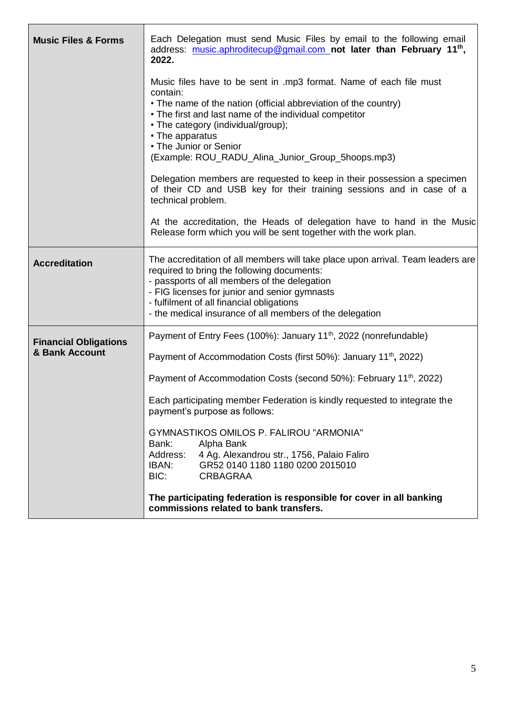| <b>Music Files &amp; Forms</b> | Each Delegation must send Music Files by email to the following email<br>address: music.aphroditecup@gmail.com_not later than February 11 <sup>th</sup> ,<br>2022.                                                                                                                                                                                                                                                             |  |  |  |  |  |
|--------------------------------|--------------------------------------------------------------------------------------------------------------------------------------------------------------------------------------------------------------------------------------------------------------------------------------------------------------------------------------------------------------------------------------------------------------------------------|--|--|--|--|--|
|                                | Music files have to be sent in .mp3 format. Name of each file must<br>contain:<br>• The name of the nation (official abbreviation of the country)<br>• The first and last name of the individual competitor<br>• The category (individual/group);<br>• The apparatus<br>• The Junior or Senior<br>(Example: ROU_RADU_Alina_Junior_Group_5hoops.mp3)<br>Delegation members are requested to keep in their possession a specimen |  |  |  |  |  |
|                                | of their CD and USB key for their training sessions and in case of a<br>technical problem.                                                                                                                                                                                                                                                                                                                                     |  |  |  |  |  |
|                                | At the accreditation, the Heads of delegation have to hand in the Music<br>Release form which you will be sent together with the work plan.                                                                                                                                                                                                                                                                                    |  |  |  |  |  |
| <b>Accreditation</b>           | The accreditation of all members will take place upon arrival. Team leaders are<br>required to bring the following documents:<br>- passports of all members of the delegation<br>- FIG licenses for junior and senior gymnasts<br>- fulfilment of all financial obligations<br>- the medical insurance of all members of the delegation                                                                                        |  |  |  |  |  |
| <b>Financial Obligations</b>   | Payment of Entry Fees (100%): January 11 <sup>th</sup> , 2022 (nonrefundable)                                                                                                                                                                                                                                                                                                                                                  |  |  |  |  |  |
| & Bank Account                 | Payment of Accommodation Costs (first 50%): January 11 <sup>th</sup> , 2022)                                                                                                                                                                                                                                                                                                                                                   |  |  |  |  |  |
|                                | Payment of Accommodation Costs (second 50%): February 11 <sup>th</sup> , 2022)                                                                                                                                                                                                                                                                                                                                                 |  |  |  |  |  |
|                                | Each participating member Federation is kindly requested to integrate the<br>payment's purpose as follows:                                                                                                                                                                                                                                                                                                                     |  |  |  |  |  |
|                                | <b>GYMNASTIKOS OMILOS P. FALIROU "ARMONIA"</b><br>Bank:<br>Alpha Bank                                                                                                                                                                                                                                                                                                                                                          |  |  |  |  |  |
|                                | 4 Ag. Alexandrou str., 1756, Palaio Faliro<br>Address:<br>IBAN:<br>GR52 0140 1180 1180 0200 2015010<br>BIC:<br><b>CRBAGRAA</b>                                                                                                                                                                                                                                                                                                 |  |  |  |  |  |
|                                | The participating federation is responsible for cover in all banking<br>commissions related to bank transfers.                                                                                                                                                                                                                                                                                                                 |  |  |  |  |  |